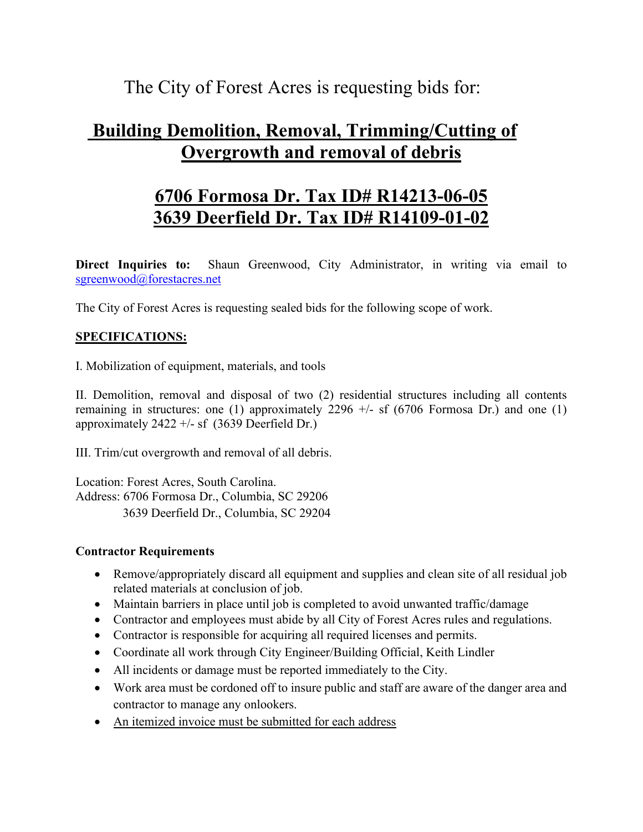The City of Forest Acres is requesting bids for:

## **Building Demolition, Removal, Trimming/Cutting of Overgrowth and removal of debris**

# **6706 Formosa Dr. Tax ID# R14213-06-05 3639 Deerfield Dr. Tax ID# R14109-01-02**

**Direct Inquiries to:** Shaun Greenwood, City Administrator, in writing via email to [sgreenwood@forestacres.net](mailto:sgreenwood@forestacres.net)

The City of Forest Acres is requesting sealed bids for the following scope of work.

### **SPECIFICATIONS:**

I. Mobilization of equipment, materials, and tools

II. Demolition, removal and disposal of two (2) residential structures including all contents remaining in structures: one (1) approximately 2296  $+/-$  sf (6706 Formosa Dr.) and one (1) approximately  $2422 + 5$  sf (3639 Deerfield Dr.)

III. Trim/cut overgrowth and removal of all debris.

Location: Forest Acres, South Carolina. Address: 6706 Formosa Dr., Columbia, SC 29206 3639 Deerfield Dr., Columbia, SC 29204

#### **Contractor Requirements**

- Remove/appropriately discard all equipment and supplies and clean site of all residual job related materials at conclusion of job.
- Maintain barriers in place until job is completed to avoid unwanted traffic/damage
- Contractor and employees must abide by all City of Forest Acres rules and regulations.
- Contractor is responsible for acquiring all required licenses and permits.
- Coordinate all work through City Engineer/Building Official, Keith Lindler
- All incidents or damage must be reported immediately to the City.
- Work area must be cordoned off to insure public and staff are aware of the danger area and contractor to manage any onlookers.
- An itemized invoice must be submitted for each address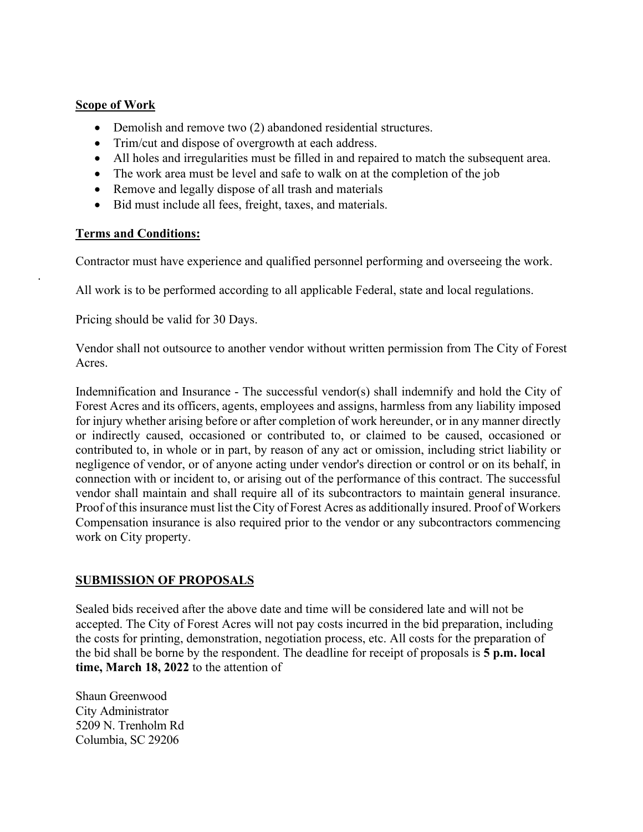#### **Scope of Work**

- Demolish and remove two (2) abandoned residential structures.
- Trim/cut and dispose of overgrowth at each address.
- All holes and irregularities must be filled in and repaired to match the subsequent area.
- The work area must be level and safe to walk on at the completion of the job
- Remove and legally dispose of all trash and materials
- Bid must include all fees, freight, taxes, and materials.

#### **Terms and Conditions:**

.

Contractor must have experience and qualified personnel performing and overseeing the work.

All work is to be performed according to all applicable Federal, state and local regulations.

Pricing should be valid for 30 Days.

Vendor shall not outsource to another vendor without written permission from The City of Forest Acres.

Indemnification and Insurance - The successful vendor(s) shall indemnify and hold the City of Forest Acres and its officers, agents, employees and assigns, harmless from any liability imposed for injury whether arising before or after completion of work hereunder, or in any manner directly or indirectly caused, occasioned or contributed to, or claimed to be caused, occasioned or contributed to, in whole or in part, by reason of any act or omission, including strict liability or negligence of vendor, or of anyone acting under vendor's direction or control or on its behalf, in connection with or incident to, or arising out of the performance of this contract. The successful vendor shall maintain and shall require all of its subcontractors to maintain general insurance. Proof of this insurance must list the City of Forest Acres as additionally insured. Proof of Workers Compensation insurance is also required prior to the vendor or any subcontractors commencing work on City property.

#### **SUBMISSION OF PROPOSALS**

Sealed bids received after the above date and time will be considered late and will not be accepted. The City of Forest Acres will not pay costs incurred in the bid preparation, including the costs for printing, demonstration, negotiation process, etc. All costs for the preparation of the bid shall be borne by the respondent. The deadline for receipt of proposals is **5 p.m. local time, March 18, 2022** to the attention of

Shaun Greenwood City Administrator 5209 N. Trenholm Rd Columbia, SC 29206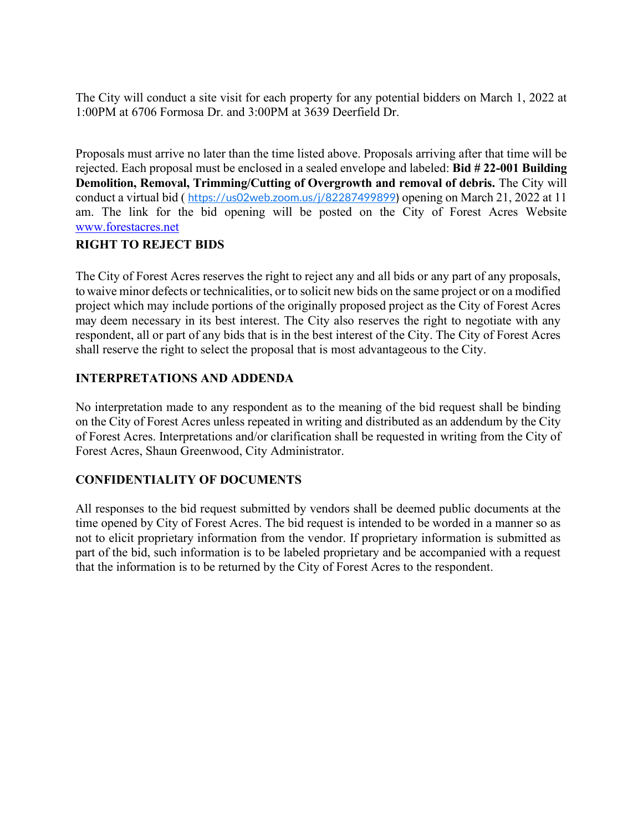The City will conduct a site visit for each property for any potential bidders on March 1, 2022 at 1:00PM at 6706 Formosa Dr. and 3:00PM at 3639 Deerfield Dr.

Proposals must arrive no later than the time listed above. Proposals arriving after that time will be rejected. Each proposal must be enclosed in a sealed envelope and labeled: **Bid # 22-001 Building Demolition, Removal, Trimming/Cutting of Overgrowth and removal of debris.** The City will conduct a virtual bid ( <https://us02web.zoom.us/j/82287499899>) opening on March 21, 2022 at 11 am. The link for the bid opening will be posted on the City of Forest Acres Website [www.forestacres.net](http://www.forestacres.net/)

#### **RIGHT TO REJECT BIDS**

The City of Forest Acres reserves the right to reject any and all bids or any part of any proposals, to waive minor defects or technicalities, or to solicit new bids on the same project or on a modified project which may include portions of the originally proposed project as the City of Forest Acres may deem necessary in its best interest. The City also reserves the right to negotiate with any respondent, all or part of any bids that is in the best interest of the City. The City of Forest Acres shall reserve the right to select the proposal that is most advantageous to the City.

#### **INTERPRETATIONS AND ADDENDA**

No interpretation made to any respondent as to the meaning of the bid request shall be binding on the City of Forest Acres unless repeated in writing and distributed as an addendum by the City of Forest Acres. Interpretations and/or clarification shall be requested in writing from the City of Forest Acres, Shaun Greenwood, City Administrator.

## **CONFIDENTIALITY OF DOCUMENTS**

All responses to the bid request submitted by vendors shall be deemed public documents at the time opened by City of Forest Acres. The bid request is intended to be worded in a manner so as not to elicit proprietary information from the vendor. If proprietary information is submitted as part of the bid, such information is to be labeled proprietary and be accompanied with a request that the information is to be returned by the City of Forest Acres to the respondent.